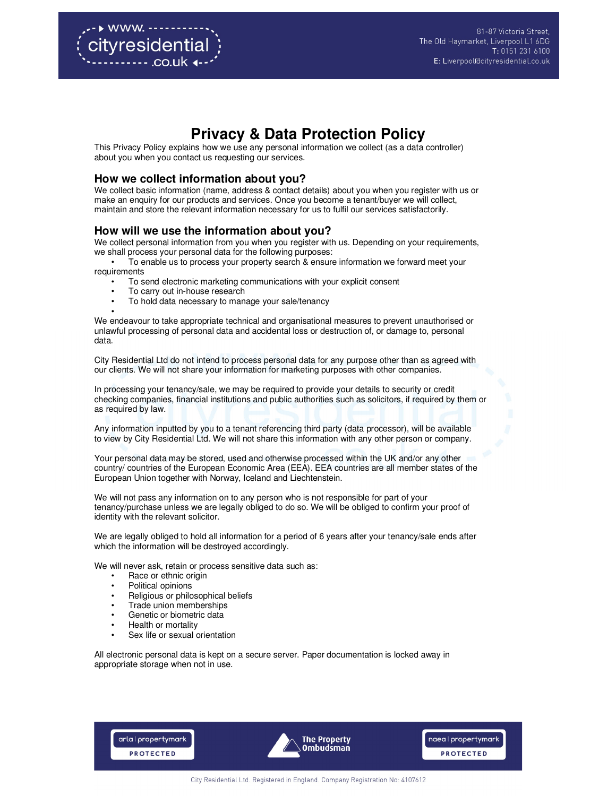# **Privacy & Data Protection Policy**

This Privacy Policy explains how we use any personal information we collect (as a data controller) about you when you contact us requesting our services.

### **How we collect information about you?**

We collect basic information (name, address & contact details) about you when you register with us or make an enquiry for our products and services. Once you become a tenant/buyer we will collect, maintain and store the relevant information necessary for us to fulfil our services satisfactorily.

## **How will we use the information about you?**

We collect personal information from you when you register with us. Depending on your requirements, we shall process your personal data for the following purposes:

• To enable us to process your property search & ensure information we forward meet your requirements

- To send electronic marketing communications with your explicit consent
- To carry out in-house research
- To hold data necessary to manage your sale/tenancy

• We endeavour to take appropriate technical and organisational measures to prevent unauthorised or unlawful processing of personal data and accidental loss or destruction of, or damage to, personal data.

City Residential Ltd do not intend to process personal data for any purpose other than as agreed with our clients. We will not share your information for marketing purposes with other companies.

In processing your tenancy/sale, we may be required to provide your details to security or credit checking companies, financial institutions and public authorities such as solicitors, if required by them or as required by law.

Any information inputted by you to a tenant referencing third party (data processor), will be available to view by City Residential Ltd. We will not share this information with any other person or company.

Your personal data may be stored, used and otherwise processed within the UK and/or any other country/ countries of the European Economic Area (EEA). EEA countries are all member states of the European Union together with Norway, Iceland and Liechtenstein.

We will not pass any information on to any person who is not responsible for part of your tenancy/purchase unless we are legally obliged to do so. We will be obliged to confirm your proof of identity with the relevant solicitor.

We are legally obliged to hold all information for a period of 6 years after your tenancy/sale ends after which the information will be destroyed accordingly.

We will never ask, retain or process sensitive data such as:

- Race or ethnic origin
- Political opinions
- Religious or philosophical beliefs
- Trade union memberships
- Genetic or biometric data
- Health or mortality
- Sex life or sexual orientation

All electronic personal data is kept on a secure server. Paper documentation is locked away in appropriate storage when not in use.